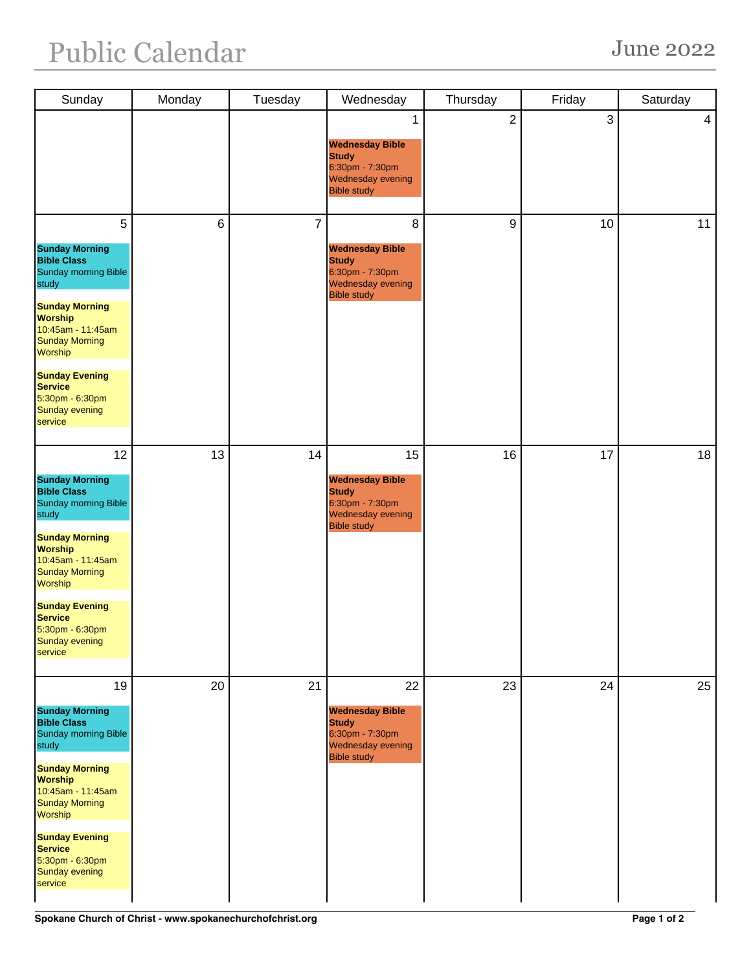| Sunday                                                                                                                                                                                                                                                                                          | Monday | Tuesday        | Wednesday                                                                                                  | Thursday       | Friday | Saturday       |
|-------------------------------------------------------------------------------------------------------------------------------------------------------------------------------------------------------------------------------------------------------------------------------------------------|--------|----------------|------------------------------------------------------------------------------------------------------------|----------------|--------|----------------|
|                                                                                                                                                                                                                                                                                                 |        |                | 1<br><b>Wednesday Bible</b><br><b>Study</b><br>6:30pm - 7:30pm<br>Wednesday evening<br><b>Bible study</b>  | $\overline{2}$ | 3      | $\overline{4}$ |
| 5<br><b>Sunday Morning</b><br><b>Bible Class</b><br>Sunday morning Bible<br>study<br><b>Sunday Morning</b><br><b>Worship</b><br>10:45am - 11:45am<br><b>Sunday Morning</b><br><b>Worship</b><br><b>Sunday Evening</b><br><b>Service</b><br>5:30pm - 6:30pm<br>Sunday evening<br>service         | 6      | $\overline{7}$ | 8<br><b>Wednesday Bible</b><br><b>Study</b><br>6:30pm - 7:30pm<br>Wednesday evening<br><b>Bible study</b>  | 9              | 10     | 11             |
| 12<br><b>Sunday Morning</b><br><b>Bible Class</b><br><b>Sunday morning Bible</b><br>study<br><b>Sunday Morning</b><br><b>Worship</b><br>10:45am - 11:45am<br><b>Sunday Morning</b><br>Worship<br><b>Sunday Evening</b><br><b>Service</b><br>5:30pm - 6:30pm<br><b>Sunday evening</b><br>service | 13     | 14             | 15<br><b>Wednesday Bible</b><br><b>Study</b><br>6:30pm - 7:30pm<br>Wednesday evening<br><b>Bible study</b> | 16             | 17     | 18             |
| 19<br><b>Sunday Morning</b><br><b>Bible Class</b><br>Sunday morning Bible<br>study<br><b>Sunday Morning</b><br><b>Worship</b><br>10:45am - 11:45am<br><b>Sunday Morning</b><br><b>Worship</b><br><b>Sunday Evening</b><br><b>Service</b><br>5:30pm - 6:30pm<br><b>Sunday evening</b><br>service | 20     | 21             | 22<br><b>Wednesday Bible</b><br><b>Study</b><br>6:30pm - 7:30pm<br>Wednesday evening<br><b>Bible study</b> | 23             | 24     | 25             |